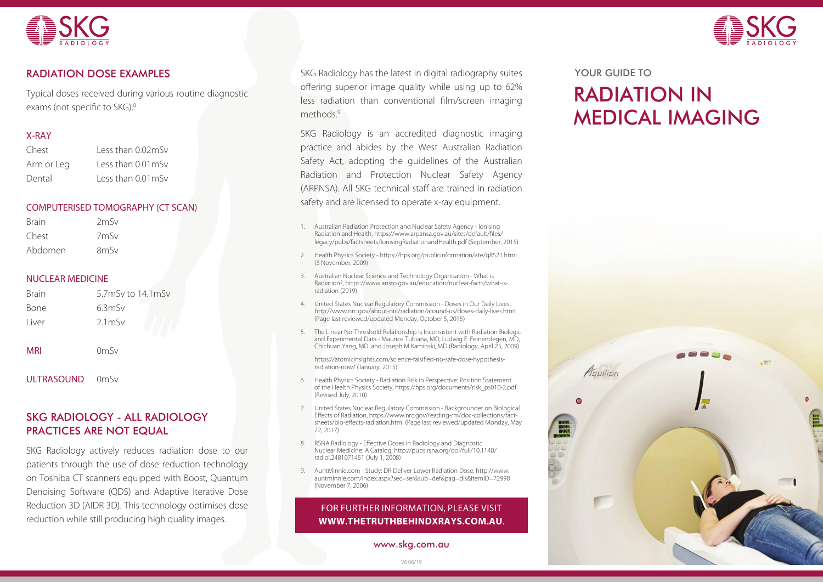



Typical doses received during various routine diagnostic exams (not specific to SKG).<sup>8</sup>

#### X-RAY

| Chest      | Less than 0.02mSv  |
|------------|--------------------|
| Arm or Leg | Less than 0.01 mSv |
| Dental     | Less than 0.01 mSv |

#### COMPUTERISED TOMOGRAPHY (CT SCAN)

| <b>Brain</b> | 2mSv              |
|--------------|-------------------|
| Chest        | 7mSv              |
| Abdomen      | 8 <sub>m</sub> Sv |

#### NUCLEAR MEDICINE

| <b>Brain</b> | $5.7m$ Sv to $14.1m$ Sv |
|--------------|-------------------------|
| Bone         | 6.3mSv                  |
| Liver        | $2.1m$ Sv               |
| <b>MRI</b>   | $0m$ Sv                 |

ULTRASOUND 0mSv

## SKG RADIOLOGY - ALL RADIOLOGY PRACTICES ARE NOT EQUAL

SKG Radiology actively reduces radiation dose to our patients through the use of dose reduction technology on Toshiba CT scanners equipped with Boost, Quantum Denoising Software (QDS) and Adaptive Iterative Dose Reduction 3D (AIDR 3D). This technology optimises dose reduction while still producing high quality images.

SKG Radiology has the latest in digital radiography suites offering superior image quality while using up to 62% less radiation than conventional film/screen imaging methods<sup>9</sup>

SKG Radiology is an accredited diagnostic imaging practice and abides by the West Australian Radiation Safety Act, adopting the guidelines of the Australian Radiation and Protection Nuclear Safety Agency (ARPNSA). All SKG technical staff are trained in radiation safety and are licensed to operate x-ray equipment.

- 1. Australian Radiation Protection and Nuclear Safety Agency Ionising Radiation and Health, https://www.arpansa.gov.au/sites/default/files/ legacy/pubs/factsheets/IonisingRadiationandHealth.pdf (September, 2015)
- 2. Health Physics Society https://hps.org/publicinformation/ate/q8521.html (3 November, 2009)
- 3. Australian Nuclear Science and Technology Organisation What is Radiation?, https://www.ansto.gov.au/education/nuclear-facts/what-isradiation (2019)
- 4. United States Nuclear Regulatory Commission Doses in Our Daily Lives, http://www.nrc.gov/about-nrc/radiation/around-us/doses-daily-lives.html (Page last reviewed/updated Monday, October 5, 2015)
- 5. The LInear No-Threshold Relationship Is Inconsistent with Radiation Biologic and Experimental Data - Maurice Tubiana, MD, Ludwig E. Feinendegen, MD, Chichuan Yang, MD, and Joseph M Kaminski, MD (Radiology, April 25, 2009)

https://atomicinsights.com/science-falsified-no-safe-dose-hypothesisradiation-now/ (January, 2015)

- 6. Health Physics Society Radiation Risk in Perspective: Position Statement of the Health Physics Society, https://hps.org/documents/risk\_ps010-2.pdf (Revised July, 2010)
- 7. United States Nuclear Regulatory Commission Backgrounder on Biological Effects of Radiation, https://www.nrc.gov/reading-rm/doc-collections/factsheets/bio-effects-radiation.html (Page last reviewed/updated Monday, May 22, 2017)
- 8. RSNA Radiology Effective Doses in Radiology and Diagnostic Nuclear Medicine: A Catalog, http://pubs.rsna.org/doi/full/10.1148/ radiol.2481071451 (July 1, 2008)
- 9. AuntMinnie.com Study: DR Deliver Lower Radiation Dose, http://www. auntminnie.com/index.aspx?sec=ser&sub=def&pag=dis&ItemID=72998 (November 7, 2006)

## FOR FURTHER INFORMATION, PLEASE VISIT **WWW.THETRUTHBEHINDXRAYS.COM.AU**.

www.skg.com.au

#### YOUR GUIDE TO

# RADIATION IN MEDICAL IMAGING